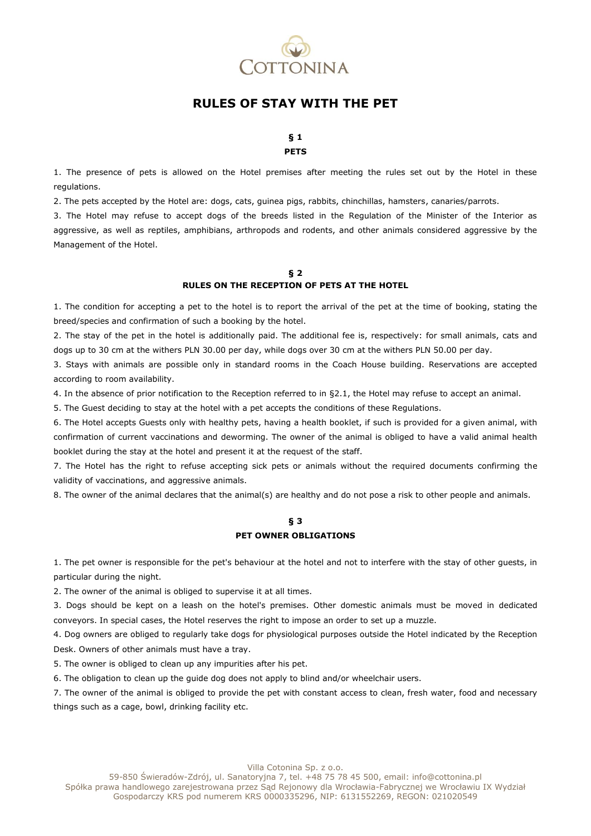

# **RULES OF STAY WITH THE PET**

### **§ 1 PETS**

1. The presence of pets is allowed on the Hotel premises after meeting the rules set out by the Hotel in these regulations.

2. The pets accepted by the Hotel are: dogs, cats, guinea pigs, rabbits, chinchillas, hamsters, canaries/parrots.

3. The Hotel may refuse to accept dogs of the breeds listed in the Regulation of the Minister of the Interior as aggressive, as well as reptiles, amphibians, arthropods and rodents, and other animals considered aggressive by the Management of the Hotel.

### **§ 2 RULES ON THE RECEPTION OF PETS AT THE HOTEL**

1. The condition for accepting a pet to the hotel is to report the arrival of the pet at the time of booking, stating the breed/species and confirmation of such a booking by the hotel.

2. The stay of the pet in the hotel is additionally paid. The additional fee is, respectively: for small animals, cats and dogs up to 30 cm at the withers PLN 30.00 per day, while dogs over 30 cm at the withers PLN 50.00 per day.

3. Stays with animals are possible only in standard rooms in the Coach House building. Reservations are accepted according to room availability.

4. In the absence of prior notification to the Reception referred to in §2.1, the Hotel may refuse to accept an animal.

5. The Guest deciding to stay at the hotel with a pet accepts the conditions of these Regulations.

6. The Hotel accepts Guests only with healthy pets, having a health booklet, if such is provided for a given animal, with confirmation of current vaccinations and deworming. The owner of the animal is obliged to have a valid animal health booklet during the stay at the hotel and present it at the request of the staff.

7. The Hotel has the right to refuse accepting sick pets or animals without the required documents confirming the validity of vaccinations, and aggressive animals.

8. The owner of the animal declares that the animal(s) are healthy and do not pose a risk to other people and animals.

## **§ 3 PET OWNER OBLIGATIONS**

1. The pet owner is responsible for the pet's behaviour at the hotel and not to interfere with the stay of other guests, in particular during the night.

2. The owner of the animal is obliged to supervise it at all times.

3. Dogs should be kept on a leash on the hotel's premises. Other domestic animals must be moved in dedicated conveyors. In special cases, the Hotel reserves the right to impose an order to set up a muzzle.

4. Dog owners are obliged to regularly take dogs for physiological purposes outside the Hotel indicated by the Reception Desk. Owners of other animals must have a tray.

5. The owner is obliged to clean up any impurities after his pet.

6. The obligation to clean up the guide dog does not apply to blind and/or wheelchair users.

7. The owner of the animal is obliged to provide the pet with constant access to clean, fresh water, food and necessary things such as a cage, bowl, drinking facility etc.

Villa Cotonina Sp. z o.o.